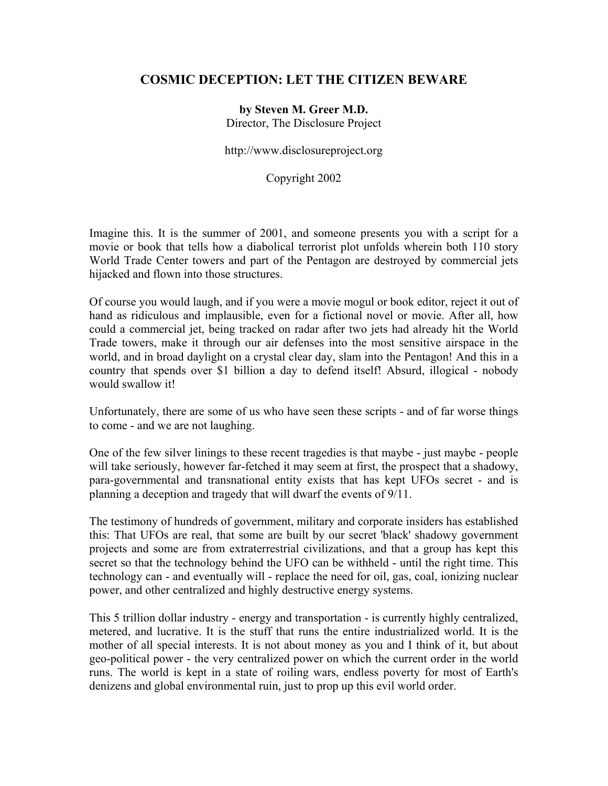## **COSMIC DECEPTION: LET THE CITIZEN BEWARE**

## **by Steven M. Greer M.D.**

Director, The Disclosure Project

http://www.disclosureproject.org

Copyright 2002

Imagine this. It is the summer of 2001, and someone presents you with a script for a movie or book that tells how a diabolical terrorist plot unfolds wherein both 110 story World Trade Center towers and part of the Pentagon are destroyed by commercial jets hijacked and flown into those structures.

Of course you would laugh, and if you were a movie mogul or book editor, reject it out of hand as ridiculous and implausible, even for a fictional novel or movie. After all, how could a commercial jet, being tracked on radar after two jets had already hit the World Trade towers, make it through our air defenses into the most sensitive airspace in the world, and in broad daylight on a crystal clear day, slam into the Pentagon! And this in a country that spends over \$1 billion a day to defend itself! Absurd, illogical - nobody would swallow it!

Unfortunately, there are some of us who have seen these scripts - and of far worse things to come - and we are not laughing.

One of the few silver linings to these recent tragedies is that maybe - just maybe - people will take seriously, however far-fetched it may seem at first, the prospect that a shadowy, para-governmental and transnational entity exists that has kept UFOs secret - and is planning a deception and tragedy that will dwarf the events of 9/11.

The testimony of hundreds of government, military and corporate insiders has established this: That UFOs are real, that some are built by our secret 'black' shadowy government projects and some are from extraterrestrial civilizations, and that a group has kept this secret so that the technology behind the UFO can be withheld - until the right time. This technology can - and eventually will - replace the need for oil, gas, coal, ionizing nuclear power, and other centralized and highly destructive energy systems.

This 5 trillion dollar industry - energy and transportation - is currently highly centralized, metered, and lucrative. It is the stuff that runs the entire industrialized world. It is the mother of all special interests. It is not about money as you and I think of it, but about geo-political power - the very centralized power on which the current order in the world runs. The world is kept in a state of roiling wars, endless poverty for most of Earth's denizens and global environmental ruin, just to prop up this evil world order.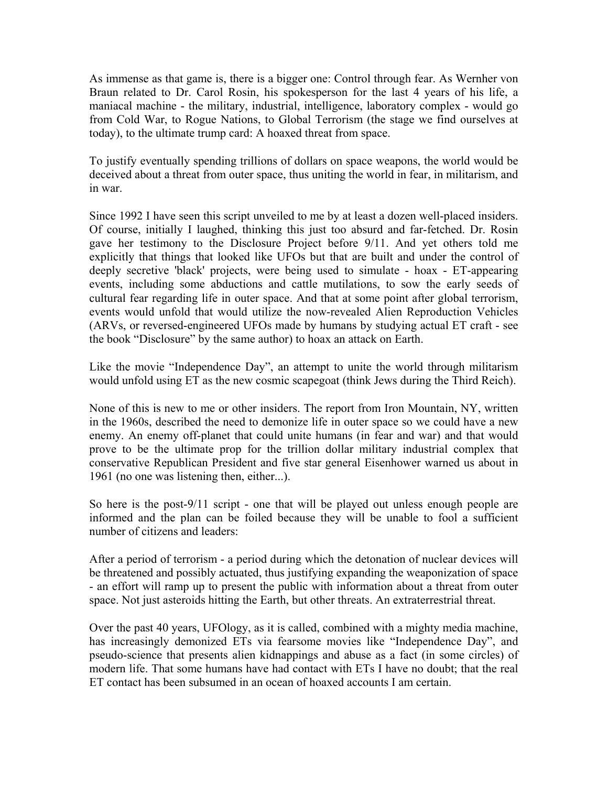As immense as that game is, there is a bigger one: Control through fear. As Wernher von Braun related to Dr. Carol Rosin, his spokesperson for the last 4 years of his life, a maniacal machine - the military, industrial, intelligence, laboratory complex - would go from Cold War, to Rogue Nations, to Global Terrorism (the stage we find ourselves at today), to the ultimate trump card: A hoaxed threat from space.

To justify eventually spending trillions of dollars on space weapons, the world would be deceived about a threat from outer space, thus uniting the world in fear, in militarism, and in war.

Since 1992 I have seen this script unveiled to me by at least a dozen well-placed insiders. Of course, initially I laughed, thinking this just too absurd and far-fetched. Dr. Rosin gave her testimony to the Disclosure Project before 9/11. And yet others told me explicitly that things that looked like UFOs but that are built and under the control of deeply secretive 'black' projects, were being used to simulate - hoax - ET-appearing events, including some abductions and cattle mutilations, to sow the early seeds of cultural fear regarding life in outer space. And that at some point after global terrorism, events would unfold that would utilize the now-revealed Alien Reproduction Vehicles (ARVs, or reversed-engineered UFOs made by humans by studying actual ET craft - see the book "Disclosure" by the same author) to hoax an attack on Earth.

Like the movie "Independence Day", an attempt to unite the world through militarism would unfold using ET as the new cosmic scapegoat (think Jews during the Third Reich).

None of this is new to me or other insiders. The report from Iron Mountain, NY, written in the 1960s, described the need to demonize life in outer space so we could have a new enemy. An enemy off-planet that could unite humans (in fear and war) and that would prove to be the ultimate prop for the trillion dollar military industrial complex that conservative Republican President and five star general Eisenhower warned us about in 1961 (no one was listening then, either...).

So here is the post-9/11 script - one that will be played out unless enough people are informed and the plan can be foiled because they will be unable to fool a sufficient number of citizens and leaders:

After a period of terrorism - a period during which the detonation of nuclear devices will be threatened and possibly actuated, thus justifying expanding the weaponization of space - an effort will ramp up to present the public with information about a threat from outer space. Not just asteroids hitting the Earth, but other threats. An extraterrestrial threat.

Over the past 40 years, UFOlogy, as it is called, combined with a mighty media machine, has increasingly demonized ETs via fearsome movies like "Independence Day", and pseudo-science that presents alien kidnappings and abuse as a fact (in some circles) of modern life. That some humans have had contact with ETs I have no doubt; that the real ET contact has been subsumed in an ocean of hoaxed accounts I am certain.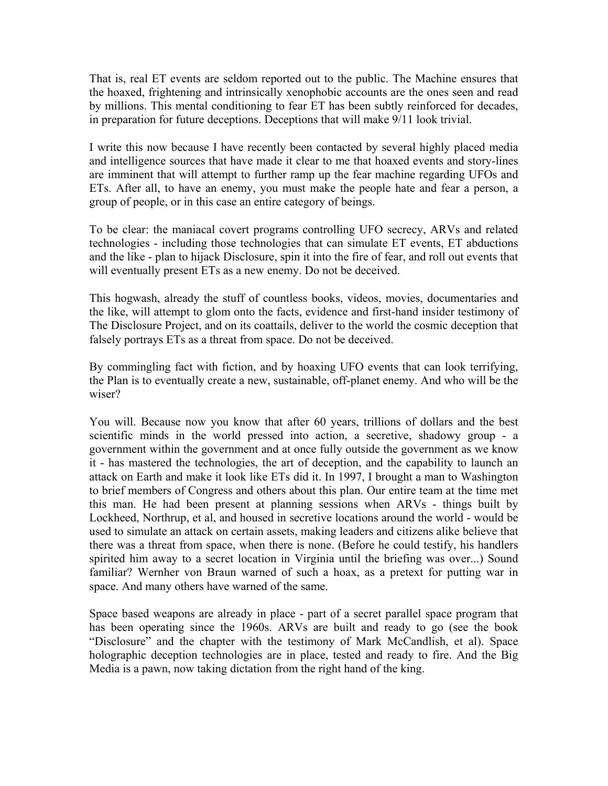That is, real ET events are seldom reported out to the public. The Machine ensures that the hoaxed, frightening and intrinsically xenophobic accounts are the ones seen and read by millions. This mental conditioning to fear ET has been subtly reinforced for decades, in preparation for future deceptions. Deceptions that will make 9/11 look trivial.

I write this now because I have recently been contacted by several highly placed media and intelligence sources that have made it clear to me that hoaxed events and story-lines are imminent that will attempt to further ramp up the fear machine regarding UFOs and ETs. After all, to have an enemy, you must make the people hate and fear a person, a group of people, or in this case an entire category of beings.

To be clear: the maniacal covert programs controlling UFO secrecy, ARVs and related technologies - including those technologies that can simulate ET events, ET abductions and the like - plan to hijack Disclosure, spin it into the fire of fear, and roll out events that will eventually present ETs as a new enemy. Do not be deceived.

This hogwash, already the stuff of countless books, videos, movies, documentaries and the like, will attempt to glom onto the facts, evidence and first-hand insider testimony of The Disclosure Project, and on its coattails, deliver to the world the cosmic deception that falsely portrays ETs as a threat from space. Do not be deceived.

By commingling fact with fiction, and by hoaxing UFO events that can look terrifying, the Plan is to eventually create a new, sustainable, off-planet enemy. And who will be the wiser?

You will. Because now you know that after 60 years, trillions of dollars and the best scientific minds in the world pressed into action, a secretive, shadowy group - a government within the government and at once fully outside the government as we know it - has mastered the technologies, the art of deception, and the capability to launch an attack on Earth and make it look like ETs did it. In 1997, I brought a man to Washington to brief members of Congress and others about this plan. Our entire team at the time met this man. He had been present at planning sessions when ARVs - things built by Lockheed, Northrup, et al, and housed in secretive locations around the world - would be used to simulate an attack on certain assets, making leaders and citizens alike believe that there was a threat from space, when there is none. (Before he could testify, his handlers spirited him away to a secret location in Virginia until the briefing was over...) Sound familiar? Wernher von Braun warned of such a hoax, as a pretext for putting war in space. And many others have warned of the same.

Space based weapons are already in place - part of a secret parallel space program that has been operating since the 1960s. ARVs are built and ready to go (see the book "Disclosure" and the chapter with the testimony of Mark McCandlish, et al). Space holographic deception technologies are in place, tested and ready to fire. And the Big Media is a pawn, now taking dictation from the right hand of the king.